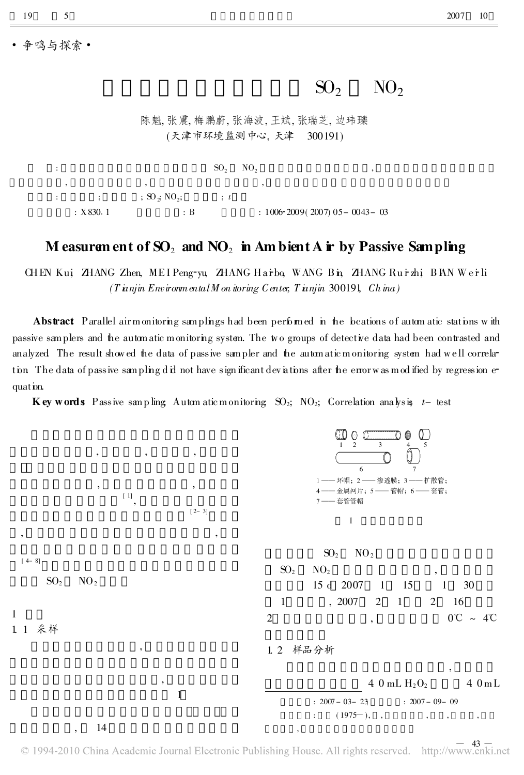争鸣与探索 ·

5

19

## $SO<sub>2</sub>$  $NO<sub>2</sub>$

陈魁, 张震, 梅鹏蔚, 张海波, 王斌, 张瑞芝, 边玮瓅 (天津市环境监测中心,天津 300191)

## M easurem ent of  $SO_2$  and  $NO_2$  in Am bient A ir by Passive Sampling

CHEN Kui ZHANG Zhen, MEI Peng-yu, ZHANG Harbo, WANG Bin, ZHANG Rurzhi, BIAN Werli  $(T \nmin Env$  iron ental M on itoring C enter, T in nim 300191, Ch in a)

Abstract Parallel airmonitoring samplings had been performed in the beations of automatic stations with passive samplers and the automatic monitoring system. The wo groups of detective data had been contrasted and analyzed. The result showed the data of passive sampler and the automatic monitoring system had well correlation The data of passive sampling did not have significant deviations after the error was modified by regression equat ion.

**Key words** Passive sampling Automatic monitoring  $SO_2$ ; NO<sub>2</sub>; Correlation analysis  $t$ - test



 $\degree$  1994-2010 China Academic Journal Electronic Publishing House. All rights reserved. http://www.cnki.net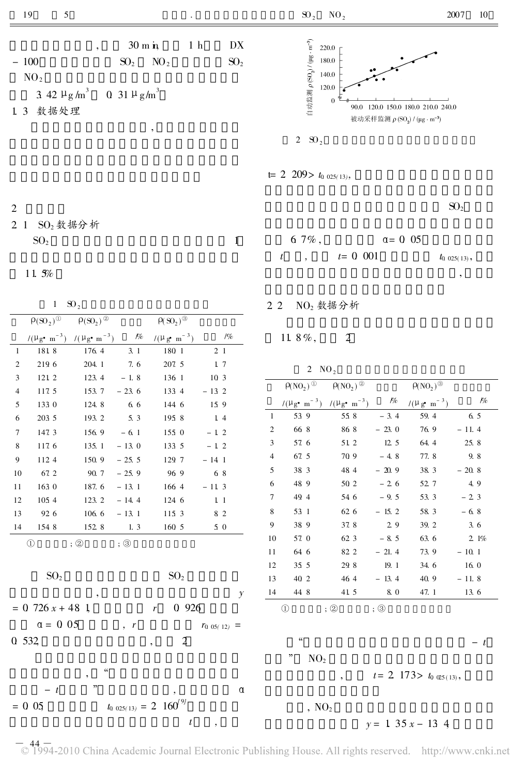| 5<br>19                                                                                                      |                                                                     |                                                       | $SO_2$ NO <sub>2</sub>                                                                                                                                                                                                             | 2007<br>10      |
|--------------------------------------------------------------------------------------------------------------|---------------------------------------------------------------------|-------------------------------------------------------|------------------------------------------------------------------------------------------------------------------------------------------------------------------------------------------------------------------------------------|-----------------|
| $^\circ$<br>$-100$<br>NO <sub>2</sub><br>3 42 $\mu$ g/m <sup>3</sup> 0 31 $\mu$ g/m <sup>3</sup><br>1.3 数据处理 | $30 \text{ m}$ in<br>NO <sub>2</sub><br>SO <sub>2</sub><br>$^\circ$ | 1 <sub>h</sub><br>${\rm D}{\rm X}$<br>SO <sub>2</sub> | 自动监测 $\rho$ (SO <sub>2</sub> ) / (µg · m <sup>-3</sup> )<br>220.0<br>180.0<br>140.0<br>120.0<br>$\mathbf{0}$<br>120.0 150.0 180.0 210.0 240.0<br>90.0<br>被动采样监测 ρ(SO <sub>2</sub> ) / (μg · m <sup>-3</sup> )<br>2 $\mathrm{SO}_2$ |                 |
|                                                                                                              |                                                                     |                                                       | $t= 2$ 209> $t_0$ 025(13),                                                                                                                                                                                                         |                 |
| 2<br>$SO2$ 数据分析<br>2 <sub>1</sub><br>SO <sub>2</sub>                                                         |                                                                     |                                                       | 6 7%,<br>$\alpha = 0$ 05                                                                                                                                                                                                           | SO <sub>2</sub> |

 $SO<sub>2</sub>$  1

11. 5%

 $1 \quad \text{SO}_2$ 

|                |                                           |                                                             |                            |                                      |                  |          |                |                                                                | $1102$ $2020$ $11$                     |         |                                       |
|----------------|-------------------------------------------|-------------------------------------------------------------|----------------------------|--------------------------------------|------------------|----------|----------------|----------------------------------------------------------------|----------------------------------------|---------|---------------------------------------|
|                | $\rho(\overline{\mathrm{SO}_2)^{\oplus}}$ | $\rho(\overline{SO_2})^{\circledR}$                         |                            | $\rho(\mathrm{SO}_2)$ <sup>®</sup>   |                  |          |                |                                                                |                                        |         |                                       |
|                |                                           | $/(\mu_{g^{\bullet} m}^{-3})$ $/(\mu_{g^{\bullet} m}^{-3})$ | $\mathcal{P}\!\!/\!\!\rho$ | $/(\mu g \cdot m^{-3})$              |                  | $1\%$    |                | 11.8%,                                                         | 2                                      |         |                                       |
| $\mathbf{1}$   | 181 8                                     | 176.4                                                       | 3.1                        | 180 1                                | 2 <sub>1</sub>   |          |                |                                                                |                                        |         |                                       |
| $\overline{c}$ | 219 6                                     | 204.1                                                       | 7.6                        | 207.5                                | 1 7              |          |                | $2 \text{NO}_2$                                                |                                        |         |                                       |
| 3              | 121 2                                     | 123.4                                                       | $-1.8$                     | 136 1                                | 10 <sub>3</sub>  |          |                |                                                                |                                        |         |                                       |
| $\overline{4}$ | 117.5                                     | 153.7                                                       | $-23.6$                    | 133 4                                | $-132$           |          |                | $\rho(NO_2)$ <sup>①</sup>                                      | $\rho(\overline{NO_2})^{\circledcirc}$ |         | $\rho(\text{NO}_2)$ <sup>®</sup>      |
| 5              | 133 0                                     | 124.8                                                       | 6.6                        | 144 6                                | 159              |          |                | $/(\mu_{g^{\bullet} m}^{-3})$ $/(\mu_{g^{\bullet} m}^{-3})$ // |                                        |         | $/(\mu g \cdot m^{-3})$               |
| 6              | 203 5                                     | 193.2                                                       | 5.3                        | 195 8                                | 14               |          | -1             | 53 9                                                           | 55 8                                   | $-3.4$  | 59.4                                  |
| 7              | 147.3                                     | 156.9                                                       | $-6.1$                     | 1550                                 | $-12$            |          | $\overline{c}$ | 66 8                                                           | 868                                    | $-23.0$ | 76.9                                  |
| 8              | 117.6                                     | 135.1                                                       | $-13.0$                    | 133 5                                | $-12$            |          | 3              | 57 6                                                           | 51 2                                   | 12.5    | 64.4                                  |
| 9              | 112 4                                     | 150.9                                                       | $-25.5$                    | 129 7                                | $-141$           |          | 4              | 67.5                                                           | 70 9                                   | $-4.8$  | 77.8                                  |
| 10             | 67.2                                      | 90.7                                                        | $-25.9$                    | 969                                  | 68               |          | 5              | 38 3                                                           | 48 4                                   | $-20.9$ | 38.3                                  |
| 11             | 163 0                                     | 187.6                                                       | $-13.1$                    | 166 4                                | $-113$           |          | 6              | 48 9                                                           | 50 2                                   | $-2.6$  | 52.7                                  |
| 12             | 1054                                      | 123.2                                                       | $-14.4$                    | 124 6                                | 1 <sub>1</sub>   |          | 7              | 49 4                                                           | 54 6                                   | $-9.5$  | 53.3                                  |
| 13             | 92 6                                      | 106.6                                                       | $-13.1$                    | 115 3                                | 8 2              |          | 8              | 53 1                                                           | 62 6                                   | $-15.2$ | 58.3                                  |
| 14             | 154 8                                     | 152 8                                                       | 1.3                        | 160 5                                | 5 0              |          | 9              | 38 9                                                           | 37.8                                   | 2.9     | 39.2                                  |
|                | $\circled{1}$                             | : ②                                                         | $;\circledS$               |                                      |                  |          | 10             | 57.0                                                           | 62 3                                   | $-8.5$  | 63.6                                  |
|                |                                           |                                                             |                            |                                      |                  |          | 11             | 64 6                                                           | 82 2                                   | $-21.4$ | 73.9                                  |
|                |                                           |                                                             |                            |                                      |                  |          | 12             | 35 5                                                           | 29 8                                   | 19.1    | 34.6                                  |
|                | SO <sub>2</sub>                           |                                                             |                            | SO <sub>2</sub>                      |                  |          | 13             | 40 2                                                           | 464                                    | $-13.4$ | 40.9                                  |
|                |                                           |                                                             |                            |                                      |                  | y        | 14             | 44 8                                                           | 41 5                                   | 8.0     | 47.1                                  |
|                | $= 0$ 726 $x + 48$ 1                      |                                                             |                            | 0 9 2 6<br>$r_{-}$                   |                  |          |                | $\circled{1}$                                                  | $;\circled{2}$                         | : ③     |                                       |
|                | $\alpha = 0.05$                           |                                                             | $\cdot$ $\cdot$ $\cdot$    |                                      | $r_{0.05(12)}$ = |          |                |                                                                |                                        |         |                                       |
|                | 0 532                                     |                                                             |                            | $\overline{2}$                       |                  |          |                | $\zeta\zeta$                                                   |                                        |         |                                       |
|                |                                           |                                                             |                            |                                      |                  |          |                | ,,<br>NO <sub>2</sub>                                          |                                        |         |                                       |
|                |                                           | $\zeta\zeta$<br>$^\circ$                                    |                            |                                      |                  |          |                |                                                                |                                        |         | $t = 2$ 173> $t_0$ $\mathfrak{a}_{5}$ |
|                | $- t$                                     | ,,                                                          |                            |                                      |                  | $\alpha$ |                |                                                                |                                        |         |                                       |
|                | $= 0.05$                                  |                                                             |                            | $t_0$ 025(13) = 2 160 <sup>(9)</sup> |                  |          |                | , NO <sub>2</sub>                                              |                                        |         |                                       |
|                |                                           |                                                             |                            | $\it t$                              | $\,$             |          |                |                                                                |                                        |         | $y = 1$ 35 $x - 13$ 4                 |
|                |                                           |                                                             |                            |                                      |                  |          |                |                                                                |                                        |         |                                       |

2. 2 NO<sub>2</sub> 数据分析

/%  $\rho(\text{NO}_2)$  $/(\mu g \cdot m^{-3})$  $\rho_{\!\!/\!\!o}$  $1 \t 53 \t 9 \t 55 \t 8 \t -3 \t 4 \t 59 \t 4 \t 6 \t 5$  $-23.0$  76. 9  $-11.4$ 3 57. 6 51. 2 12. 5 64. 4 25. 8 4 67. 5 70. 9 - 4. 8 77. 8 9. 8  $-20.9$  38. 3  $-20.8$  $-2.6$  52. 7 4. 9  $7 \t 49.4 \t 54.6 \t -9.5 \t 53.3 \t -2.3$  $-15.2$  58. 3  $-6.8$ 9 38. 9 37. 8 2. 9 39. 2 3. 6  $10 \quad 57.0 \quad 62.3 \quad -8.5 \quad 63.6 \quad 2.1\%$  $-21.4$  73. 9  $-10.1$ 12 35.5 29.8 19.1 34.6 16.0  $13 \t 40 \t 2 \t 46 \t 4 \t -13 \t 4 \t 40 \t 9 \t -11 \t 8$ 14 44.8 41.5 8.0 47.1 13.6  $\begin{matrix} (1) & \cdots & \cdots & (2) \end{matrix}$  ;  $\begin{matrix} (2) & \cdots & \cdots & (2) \end{matrix}$  $\frac{1}{t}$  - t  $t= 2$  173>  $t_0$   $(25(13))$ ,

 $t$ ,  $t= 0.001$   $t_{0.025(13)}$ ,

,

-44 - 0 1994-2010 China Academic Journal Electronic Publishing House. All rights reserved. http://www.cnki.net